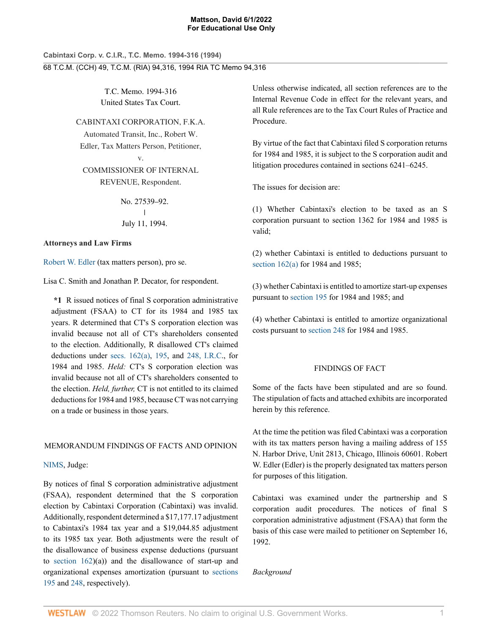**Cabintaxi Corp. v. C.I.R., T.C. Memo. 1994-316 (1994)** 68 T.C.M. (CCH) 49, T.C.M. (RIA) 94,316, 1994 RIA TC Memo 94,316

> T.C. Memo. 1994-316 United States Tax Court.

CABINTAXI CORPORATION, F.K.A. Automated Transit, Inc., Robert W. Edler, Tax Matters Person, Petitioner,

v.

COMMISSIONER OF INTERNAL REVENUE, Respondent.

> No. 27539–92.  $\mathbf{L}$ | July 11, 1994.

## **Attorneys and Law Firms**

[Robert W. Edler](http://www.westlaw.com/Link/Document/FullText?findType=h&pubNum=176284&cite=0323327201&originatingDoc=I06017726b5f311d9bdd1cfdd544ca3a4&refType=RQ&originationContext=document&vr=3.0&rs=cblt1.0&transitionType=DocumentItem&contextData=(sc.UserEnteredCitation)) (tax matters person), pro se.

Lisa C. Smith and Jonathan P. Decator, for respondent.

**\*1** R issued notices of final S corporation administrative adjustment (FSAA) to CT for its 1984 and 1985 tax years. R determined that CT's S corporation election was invalid because not all of CT's shareholders consented to the election. Additionally, R disallowed CT's claimed deductions under [secs. 162\(a\)](http://www.westlaw.com/Link/Document/FullText?findType=L&pubNum=1012823&cite=26USCAS162&originatingDoc=I06017726b5f311d9bdd1cfdd544ca3a4&refType=RB&originationContext=document&vr=3.0&rs=cblt1.0&transitionType=DocumentItem&contextData=(sc.UserEnteredCitation)#co_pp_8b3b0000958a4), [195,](http://www.westlaw.com/Link/Document/FullText?findType=L&pubNum=1012823&cite=26USCAS195&originatingDoc=I06017726b5f311d9bdd1cfdd544ca3a4&refType=LQ&originationContext=document&vr=3.0&rs=cblt1.0&transitionType=DocumentItem&contextData=(sc.UserEnteredCitation)) and [248, I.R.C](http://www.westlaw.com/Link/Document/FullText?findType=L&pubNum=1012823&cite=26USCAS248&originatingDoc=I06017726b5f311d9bdd1cfdd544ca3a4&refType=LQ&originationContext=document&vr=3.0&rs=cblt1.0&transitionType=DocumentItem&contextData=(sc.UserEnteredCitation))., for 1984 and 1985. *Held:* CT's S corporation election was invalid because not all of CT's shareholders consented to the election. *Held, further,* CT is not entitled to its claimed deductions for 1984 and 1985, because CT was not carrying on a trade or business in those years.

# MEMORANDUM FINDINGS OF FACTS AND OPINION

[NIMS](http://www.westlaw.com/Link/Document/FullText?findType=h&pubNum=176284&cite=0255442301&originatingDoc=I06017726b5f311d9bdd1cfdd544ca3a4&refType=RQ&originationContext=document&vr=3.0&rs=cblt1.0&transitionType=DocumentItem&contextData=(sc.UserEnteredCitation)), Judge:

By notices of final S corporation administrative adjustment (FSAA), respondent determined that the S corporation election by Cabintaxi Corporation (Cabintaxi) was invalid. Additionally, respondent determined a \$17,177.17 adjustment to Cabintaxi's 1984 tax year and a \$19,044.85 adjustment to its 1985 tax year. Both adjustments were the result of the disallowance of business expense deductions (pursuant to [section 162\)](http://www.westlaw.com/Link/Document/FullText?findType=L&pubNum=1012823&cite=26USCAS162&originatingDoc=I06017726b5f311d9bdd1cfdd544ca3a4&refType=LQ&originationContext=document&vr=3.0&rs=cblt1.0&transitionType=DocumentItem&contextData=(sc.UserEnteredCitation))(a)) and the disallowance of start-up and organizational expenses amortization (pursuant to [sections](http://www.westlaw.com/Link/Document/FullText?findType=L&pubNum=1012823&cite=26USCAS195&originatingDoc=I06017726b5f311d9bdd1cfdd544ca3a4&refType=LQ&originationContext=document&vr=3.0&rs=cblt1.0&transitionType=DocumentItem&contextData=(sc.UserEnteredCitation)) [195](http://www.westlaw.com/Link/Document/FullText?findType=L&pubNum=1012823&cite=26USCAS195&originatingDoc=I06017726b5f311d9bdd1cfdd544ca3a4&refType=LQ&originationContext=document&vr=3.0&rs=cblt1.0&transitionType=DocumentItem&contextData=(sc.UserEnteredCitation)) and [248](http://www.westlaw.com/Link/Document/FullText?findType=L&pubNum=1012823&cite=26USCAS248&originatingDoc=I06017726b5f311d9bdd1cfdd544ca3a4&refType=LQ&originationContext=document&vr=3.0&rs=cblt1.0&transitionType=DocumentItem&contextData=(sc.UserEnteredCitation)), respectively).

Unless otherwise indicated, all section references are to the Internal Revenue Code in effect for the relevant years, and all Rule references are to the Tax Court Rules of Practice and Procedure.

By virtue of the fact that Cabintaxi filed S corporation returns for 1984 and 1985, it is subject to the S corporation audit and litigation procedures contained in sections 6241–6245.

The issues for decision are:

(1) Whether Cabintaxi's election to be taxed as an S corporation pursuant to section 1362 for 1984 and 1985 is valid;

(2) whether Cabintaxi is entitled to deductions pursuant to [section 162\(a\)](http://www.westlaw.com/Link/Document/FullText?findType=L&pubNum=1012823&cite=26USCAS162&originatingDoc=I06017726b5f311d9bdd1cfdd544ca3a4&refType=RB&originationContext=document&vr=3.0&rs=cblt1.0&transitionType=DocumentItem&contextData=(sc.UserEnteredCitation)#co_pp_8b3b0000958a4) for 1984 and 1985;

(3) whether Cabintaxi is entitled to amortize start-up expenses pursuant to [section 195](http://www.westlaw.com/Link/Document/FullText?findType=L&pubNum=1012823&cite=26USCAS195&originatingDoc=I06017726b5f311d9bdd1cfdd544ca3a4&refType=LQ&originationContext=document&vr=3.0&rs=cblt1.0&transitionType=DocumentItem&contextData=(sc.UserEnteredCitation)) for 1984 and 1985; and

(4) whether Cabintaxi is entitled to amortize organizational costs pursuant to [section 248](http://www.westlaw.com/Link/Document/FullText?findType=L&pubNum=1012823&cite=26USCAS248&originatingDoc=I06017726b5f311d9bdd1cfdd544ca3a4&refType=LQ&originationContext=document&vr=3.0&rs=cblt1.0&transitionType=DocumentItem&contextData=(sc.UserEnteredCitation)) for 1984 and 1985.

# FINDINGS OF FACT

Some of the facts have been stipulated and are so found. The stipulation of facts and attached exhibits are incorporated herein by this reference.

At the time the petition was filed Cabintaxi was a corporation with its tax matters person having a mailing address of 155 N. Harbor Drive, Unit 2813, Chicago, Illinois 60601. Robert W. Edler (Edler) is the properly designated tax matters person for purposes of this litigation.

Cabintaxi was examined under the partnership and S corporation audit procedures. The notices of final S corporation administrative adjustment (FSAA) that form the basis of this case were mailed to petitioner on September 16, 1992.

*Background*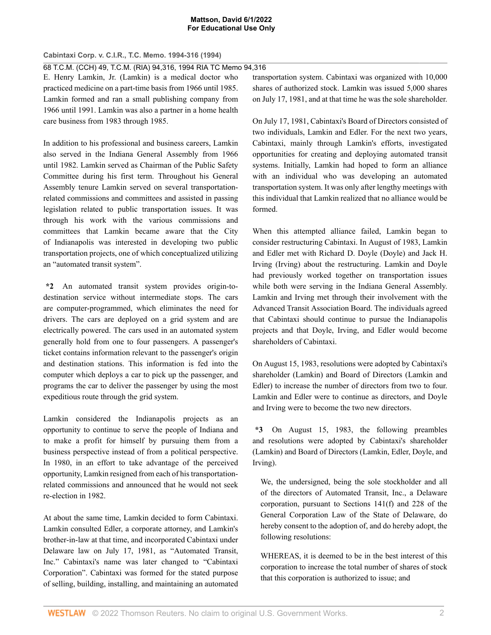**Cabintaxi Corp. v. C.I.R., T.C. Memo. 1994-316 (1994)**

68 T.C.M. (CCH) 49, T.C.M. (RIA) 94,316, 1994 RIA TC Memo 94,316

E. Henry Lamkin, Jr. (Lamkin) is a medical doctor who practiced medicine on a part-time basis from 1966 until 1985. Lamkin formed and ran a small publishing company from 1966 until 1991. Lamkin was also a partner in a home health care business from 1983 through 1985.

In addition to his professional and business careers, Lamkin also served in the Indiana General Assembly from 1966 until 1982. Lamkin served as Chairman of the Public Safety Committee during his first term. Throughout his General Assembly tenure Lamkin served on several transportationrelated commissions and committees and assisted in passing legislation related to public transportation issues. It was through his work with the various commissions and committees that Lamkin became aware that the City of Indianapolis was interested in developing two public transportation projects, one of which conceptualized utilizing an "automated transit system".

**\*2** An automated transit system provides origin-todestination service without intermediate stops. The cars are computer-programmed, which eliminates the need for drivers. The cars are deployed on a grid system and are electrically powered. The cars used in an automated system generally hold from one to four passengers. A passenger's ticket contains information relevant to the passenger's origin and destination stations. This information is fed into the computer which deploys a car to pick up the passenger, and programs the car to deliver the passenger by using the most expeditious route through the grid system.

Lamkin considered the Indianapolis projects as an opportunity to continue to serve the people of Indiana and to make a profit for himself by pursuing them from a business perspective instead of from a political perspective. In 1980, in an effort to take advantage of the perceived opportunity, Lamkin resigned from each of his transportationrelated commissions and announced that he would not seek re-election in 1982.

At about the same time, Lamkin decided to form Cabintaxi. Lamkin consulted Edler, a corporate attorney, and Lamkin's brother-in-law at that time, and incorporated Cabintaxi under Delaware law on July 17, 1981, as "Automated Transit, Inc." Cabintaxi's name was later changed to "Cabintaxi Corporation". Cabintaxi was formed for the stated purpose of selling, building, installing, and maintaining an automated transportation system. Cabintaxi was organized with 10,000 shares of authorized stock. Lamkin was issued 5,000 shares on July 17, 1981, and at that time he was the sole shareholder.

On July 17, 1981, Cabintaxi's Board of Directors consisted of two individuals, Lamkin and Edler. For the next two years, Cabintaxi, mainly through Lamkin's efforts, investigated opportunities for creating and deploying automated transit systems. Initially, Lamkin had hoped to form an alliance with an individual who was developing an automated transportation system. It was only after lengthy meetings with this individual that Lamkin realized that no alliance would be formed.

When this attempted alliance failed, Lamkin began to consider restructuring Cabintaxi. In August of 1983, Lamkin and Edler met with Richard D. Doyle (Doyle) and Jack H. Irving (Irving) about the restructuring. Lamkin and Doyle had previously worked together on transportation issues while both were serving in the Indiana General Assembly. Lamkin and Irving met through their involvement with the Advanced Transit Association Board. The individuals agreed that Cabintaxi should continue to pursue the Indianapolis projects and that Doyle, Irving, and Edler would become shareholders of Cabintaxi.

On August 15, 1983, resolutions were adopted by Cabintaxi's shareholder (Lamkin) and Board of Directors (Lamkin and Edler) to increase the number of directors from two to four. Lamkin and Edler were to continue as directors, and Doyle and Irving were to become the two new directors.

**\*3** On August 15, 1983, the following preambles and resolutions were adopted by Cabintaxi's shareholder (Lamkin) and Board of Directors (Lamkin, Edler, Doyle, and Irving).

We, the undersigned, being the sole stockholder and all of the directors of Automated Transit, Inc., a Delaware corporation, pursuant to Sections 141(f) and 228 of the General Corporation Law of the State of Delaware, do hereby consent to the adoption of, and do hereby adopt, the following resolutions:

WHEREAS, it is deemed to be in the best interest of this corporation to increase the total number of shares of stock that this corporation is authorized to issue; and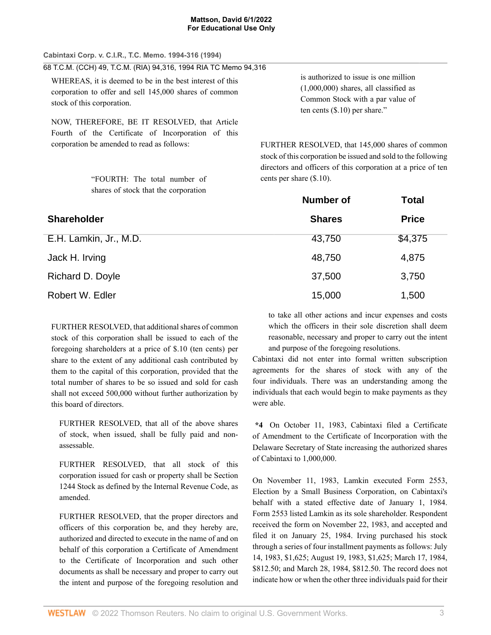| Cabintaxi Corp. v. C.I.R., T.C. Memo. 1994-316 (1994)                                                                                            |                                   |
|--------------------------------------------------------------------------------------------------------------------------------------------------|-----------------------------------|
| 68 T.C.M. (CCH) 49, T.C.M. (RIA) 94,316, 1994 RIA TC Memo 94,316                                                                                 |                                   |
| WHEREAS, it is deemed to be in the best interest of this                                                                                         |                                   |
| corporation to offer and sell 145,000 shares of common                                                                                           |                                   |
| stock of this corporation.                                                                                                                       |                                   |
| NOW, THEREFORE, BE IT RESOLVED, that Article<br>Fourth of the Certificate of Incorporation of this<br>corporation be amended to read as follows: | <b>FURTHER I</b><br>stock of this |

"FOURTH: The total number of shares of stock that the corporation

is authorized to issue is one million (1,000,000) shares, all classified as Common Stock with a par value of ten cents (\$.10) per share."

RESOLVED, that 145,000 shares of common corporation be issued and sold to the following directors and officers of this corporation at a price of ten cents per share (\$.10).

|                        | <b>Number of</b> | <b>Total</b> |
|------------------------|------------------|--------------|
| <b>Shareholder</b>     | <b>Shares</b>    | <b>Price</b> |
| E.H. Lamkin, Jr., M.D. | 43,750           | \$4,375      |
| Jack H. Irving         | 48,750           | 4,875        |
| Richard D. Doyle       | 37,500           | 3,750        |
| Robert W. Edler        | 15,000           | 1,500        |

FURTHER RESOLVED, that additional shares of common stock of this corporation shall be issued to each of the foregoing shareholders at a price of \$.10 (ten cents) per share to the extent of any additional cash contributed by them to the capital of this corporation, provided that the total number of shares to be so issued and sold for cash shall not exceed 500,000 without further authorization by this board of directors.

FURTHER RESOLVED, that all of the above shares of stock, when issued, shall be fully paid and nonassessable.

FURTHER RESOLVED, that all stock of this corporation issued for cash or property shall be Section 1244 Stock as defined by the Internal Revenue Code, as amended.

FURTHER RESOLVED, that the proper directors and officers of this corporation be, and they hereby are, authorized and directed to execute in the name of and on behalf of this corporation a Certificate of Amendment to the Certificate of Incorporation and such other documents as shall be necessary and proper to carry out the intent and purpose of the foregoing resolution and

to take all other actions and incur expenses and costs which the officers in their sole discretion shall deem reasonable, necessary and proper to carry out the intent and purpose of the foregoing resolutions.

Cabintaxi did not enter into formal written subscription agreements for the shares of stock with any of the four individuals. There was an understanding among the individuals that each would begin to make payments as they were able.

**\*4** On October 11, 1983, Cabintaxi filed a Certificate of Amendment to the Certificate of Incorporation with the Delaware Secretary of State increasing the authorized shares of Cabintaxi to 1,000,000.

On November 11, 1983, Lamkin executed Form 2553, Election by a Small Business Corporation, on Cabintaxi's behalf with a stated effective date of January 1, 1984. Form 2553 listed Lamkin as its sole shareholder. Respondent received the form on November 22, 1983, and accepted and filed it on January 25, 1984. Irving purchased his stock through a series of four installment payments as follows: July 14, 1983, \$1,625; August 19, 1983, \$1,625; March 17, 1984, \$812.50; and March 28, 1984, \$812.50. The record does not indicate how or when the other three individuals paid for their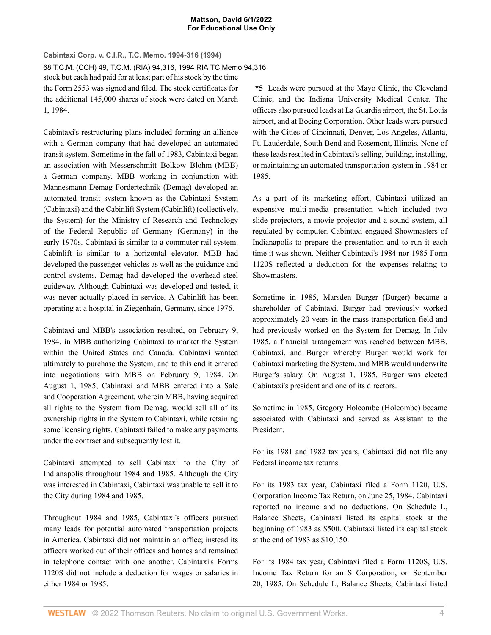**Cabintaxi Corp. v. C.I.R., T.C. Memo. 1994-316 (1994)** 68 T.C.M. (CCH) 49, T.C.M. (RIA) 94,316, 1994 RIA TC Memo 94,316 stock but each had paid for at least part of his stock by the time the Form 2553 was signed and filed. The stock certificates for the additional 145,000 shares of stock were dated on March 1, 1984.

Cabintaxi's restructuring plans included forming an alliance with a German company that had developed an automated transit system. Sometime in the fall of 1983, Cabintaxi began an association with Messerschmitt–Bolkow–Blohm (MBB) a German company. MBB working in conjunction with Mannesmann Demag Fordertechnik (Demag) developed an automated transit system known as the Cabintaxi System (Cabintaxi) and the Cabinlift System (Cabinlift) (collectively, the System) for the Ministry of Research and Technology of the Federal Republic of Germany (Germany) in the early 1970s. Cabintaxi is similar to a commuter rail system. Cabinlift is similar to a horizontal elevator. MBB had developed the passenger vehicles as well as the guidance and control systems. Demag had developed the overhead steel guideway. Although Cabintaxi was developed and tested, it was never actually placed in service. A Cabinlift has been operating at a hospital in Ziegenhain, Germany, since 1976.

Cabintaxi and MBB's association resulted, on February 9, 1984, in MBB authorizing Cabintaxi to market the System within the United States and Canada. Cabintaxi wanted ultimately to purchase the System, and to this end it entered into negotiations with MBB on February 9, 1984. On August 1, 1985, Cabintaxi and MBB entered into a Sale and Cooperation Agreement, wherein MBB, having acquired all rights to the System from Demag, would sell all of its ownership rights in the System to Cabintaxi, while retaining some licensing rights. Cabintaxi failed to make any payments under the contract and subsequently lost it.

Cabintaxi attempted to sell Cabintaxi to the City of Indianapolis throughout 1984 and 1985. Although the City was interested in Cabintaxi, Cabintaxi was unable to sell it to the City during 1984 and 1985.

Throughout 1984 and 1985, Cabintaxi's officers pursued many leads for potential automated transportation projects in America. Cabintaxi did not maintain an office; instead its officers worked out of their offices and homes and remained in telephone contact with one another. Cabintaxi's Forms 1120S did not include a deduction for wages or salaries in either 1984 or 1985.

**\*5** Leads were pursued at the Mayo Clinic, the Cleveland Clinic, and the Indiana University Medical Center. The officers also pursued leads at La Guardia airport, the St. Louis airport, and at Boeing Corporation. Other leads were pursued with the Cities of Cincinnati, Denver, Los Angeles, Atlanta, Ft. Lauderdale, South Bend and Rosemont, Illinois. None of these leads resulted in Cabintaxi's selling, building, installing, or maintaining an automated transportation system in 1984 or 1985.

As a part of its marketing effort, Cabintaxi utilized an expensive multi-media presentation which included two slide projectors, a movie projector and a sound system, all regulated by computer. Cabintaxi engaged Showmasters of Indianapolis to prepare the presentation and to run it each time it was shown. Neither Cabintaxi's 1984 nor 1985 Form 1120S reflected a deduction for the expenses relating to Showmasters.

Sometime in 1985, Marsden Burger (Burger) became a shareholder of Cabintaxi. Burger had previously worked approximately 20 years in the mass transportation field and had previously worked on the System for Demag. In July 1985, a financial arrangement was reached between MBB, Cabintaxi, and Burger whereby Burger would work for Cabintaxi marketing the System, and MBB would underwrite Burger's salary. On August 1, 1985, Burger was elected Cabintaxi's president and one of its directors.

Sometime in 1985, Gregory Holcombe (Holcombe) became associated with Cabintaxi and served as Assistant to the President.

For its 1981 and 1982 tax years, Cabintaxi did not file any Federal income tax returns.

For its 1983 tax year, Cabintaxi filed a Form 1120, U.S. Corporation Income Tax Return, on June 25, 1984. Cabintaxi reported no income and no deductions. On Schedule L, Balance Sheets, Cabintaxi listed its capital stock at the beginning of 1983 as \$500. Cabintaxi listed its capital stock at the end of 1983 as \$10,150.

For its 1984 tax year, Cabintaxi filed a Form 1120S, U.S. Income Tax Return for an S Corporation, on September 20, 1985. On Schedule L, Balance Sheets, Cabintaxi listed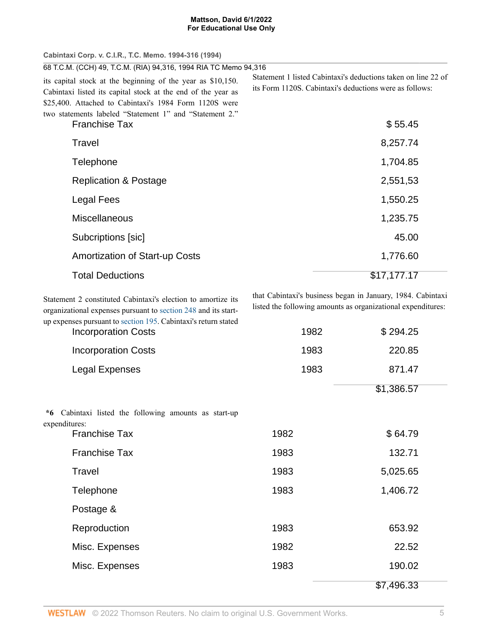| Cabintaxi Corp. v. C.I.R., T.C. Memo. 1994-316 (1994)                                                                                                                                 |                                                                                                                          |
|---------------------------------------------------------------------------------------------------------------------------------------------------------------------------------------|--------------------------------------------------------------------------------------------------------------------------|
| 68 T.C.M. (CCH) 49, T.C.M. (RIA) 94,316, 1994 RIA TC Memo 94,316                                                                                                                      |                                                                                                                          |
| its capital stock at the beginning of the year as \$10,150.<br>Cabintaxi listed its capital stock at the end of the year as<br>\$25,400. Attached to Cabintaxi's 1984 Form 1120S were | Statement 1 listed Cabintaxi's deductions taken on line 22 of<br>its Form 1120S. Cabintaxi's deductions were as follows: |
| two statements labeled "Statement 1" and "Statement 2."<br><b>Franchise Tax</b>                                                                                                       | \$55.45                                                                                                                  |
| Travel                                                                                                                                                                                | 8,257.74                                                                                                                 |
| Telephone                                                                                                                                                                             | 1,704.85                                                                                                                 |
| <b>Replication &amp; Postage</b>                                                                                                                                                      | 2,551,53                                                                                                                 |
| Legal Fees                                                                                                                                                                            | 1,550.25                                                                                                                 |
| <b>Miscellaneous</b>                                                                                                                                                                  | 1,235.75                                                                                                                 |
| Subcriptions [sic]                                                                                                                                                                    | 45.00                                                                                                                    |
| <b>Amortization of Start-up Costs</b>                                                                                                                                                 | 1,776.60                                                                                                                 |
| <b>Total Deductions</b>                                                                                                                                                               | \$17,177.17                                                                                                              |

Statement 2 constituted Cabintaxi's election to amortize its organizational expenses pursuant to [section 248](http://www.westlaw.com/Link/Document/FullText?findType=L&pubNum=1012823&cite=26USCAS248&originatingDoc=I06017726b5f311d9bdd1cfdd544ca3a4&refType=LQ&originationContext=document&vr=3.0&rs=cblt1.0&transitionType=DocumentItem&contextData=(sc.UserEnteredCitation)) and its startup expenses pursuant to [section 195](http://www.westlaw.com/Link/Document/FullText?findType=L&pubNum=1012823&cite=26USCAS195&originatingDoc=I06017726b5f311d9bdd1cfdd544ca3a4&refType=LQ&originationContext=document&vr=3.0&rs=cblt1.0&transitionType=DocumentItem&contextData=(sc.UserEnteredCitation)). Cabintaxi's return stated that Cabintaxi's business began in January, 1984. Cabintaxi listed the following amounts as organizational expenditures:

| <b>Incorporation Costs</b>                                             | 1982 | \$294.25   |  |
|------------------------------------------------------------------------|------|------------|--|
| <b>Incorporation Costs</b>                                             | 1983 | 220.85     |  |
| <b>Legal Expenses</b>                                                  | 1983 | 871.47     |  |
|                                                                        |      | \$1,386.57 |  |
| *6 Cabintaxi listed the following amounts as start-up<br>expenditures: |      |            |  |
| <b>Franchise Tax</b>                                                   | 1982 | \$64.79    |  |
| <b>Franchise Tax</b>                                                   | 1983 | 132.71     |  |
| Travel                                                                 | 1983 | 5,025.65   |  |
| Telephone                                                              | 1983 | 1,406.72   |  |
| Postage &                                                              |      |            |  |
| Reproduction                                                           | 1983 | 653.92     |  |
| Misc. Expenses                                                         | 1982 | 22.52      |  |
| Misc. Expenses                                                         | 1983 | 190.02     |  |
|                                                                        |      | \$7,496.33 |  |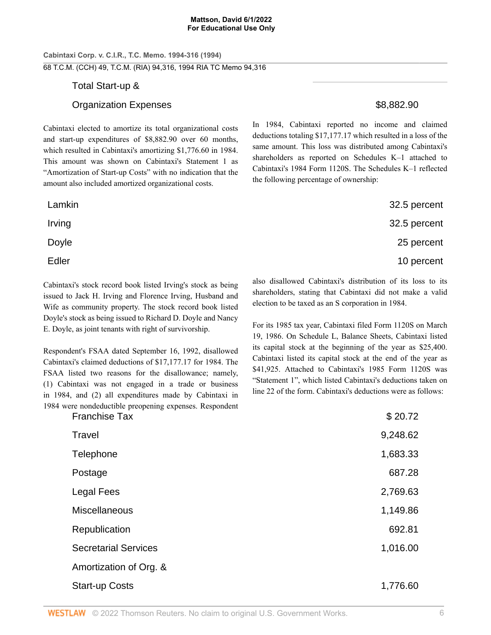**Cabintaxi Corp. v. C.I.R., T.C. Memo. 1994-316 (1994)** 68 T.C.M. (CCH) 49, T.C.M. (RIA) 94,316, 1994 RIA TC Memo 94,316

# Total Start-up &

# Organization Expenses  $$8,882.90$

Cabintaxi elected to amortize its total organizational costs and start-up expenditures of \$8,882.90 over 60 months, which resulted in Cabintaxi's amortizing \$1,776.60 in 1984. This amount was shown on Cabintaxi's Statement 1 as "Amortization of Start-up Costs" with no indication that the amount also included amortized organizational costs.

Cabintaxi's stock record book listed Irving's stock as being issued to Jack H. Irving and Florence Irving, Husband and Wife as community property. The stock record book listed Doyle's stock as being issued to Richard D. Doyle and Nancy E. Doyle, as joint tenants with right of survivorship.

Respondent's FSAA dated September 16, 1992, disallowed Cabintaxi's claimed deductions of \$17,177.17 for 1984. The FSAA listed two reasons for the disallowance; namely, (1) Cabintaxi was not engaged in a trade or business in 1984, and (2) all expenditures made by Cabintaxi in 1984 were nondeductible preopening expenses. Respondent In 1984, Cabintaxi reported no income and claimed deductions totaling \$17,177.17 which resulted in a loss of the same amount. This loss was distributed among Cabintaxi's shareholders as reported on Schedules K–1 attached to Cabintaxi's 1984 Form 1120S. The Schedules K–1 reflected the following percentage of ownership:

| Lamkin | 32.5 percent |
|--------|--------------|
| Irving | 32.5 percent |
| Doyle  | 25 percent   |
| Edler  | 10 percent   |

also disallowed Cabintaxi's distribution of its loss to its shareholders, stating that Cabintaxi did not make a valid election to be taxed as an S corporation in 1984.

For its 1985 tax year, Cabintaxi filed Form 1120S on March 19, 1986. On Schedule L, Balance Sheets, Cabintaxi listed its capital stock at the beginning of the year as \$25,400. Cabintaxi listed its capital stock at the end of the year as \$41,925. Attached to Cabintaxi's 1985 Form 1120S was "Statement 1", which listed Cabintaxi's deductions taken on line 22 of the form. Cabintaxi's deductions were as follows:

| <b>Franchise Tax</b>        | \$20.72  |
|-----------------------------|----------|
| Travel                      | 9,248.62 |
| Telephone                   | 1,683.33 |
| Postage                     | 687.28   |
| <b>Legal Fees</b>           | 2,769.63 |
| Miscellaneous               | 1,149.86 |
| Republication               | 692.81   |
| <b>Secretarial Services</b> | 1,016.00 |
| Amortization of Org. &      |          |
| <b>Start-up Costs</b>       | 1,776.60 |
|                             |          |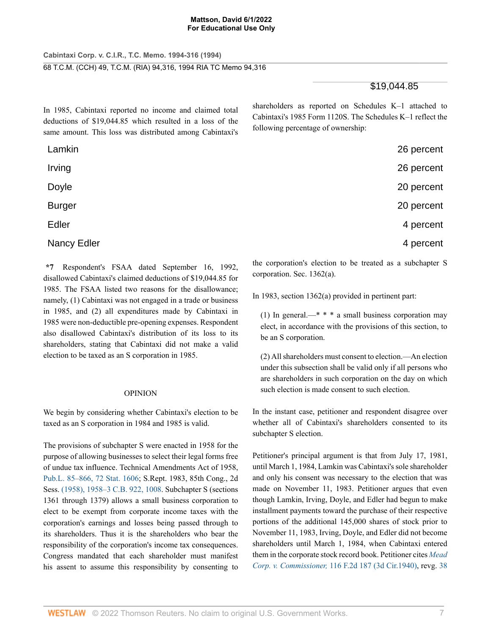**Cabintaxi Corp. v. C.I.R., T.C. Memo. 1994-316 (1994)** 68 T.C.M. (CCH) 49, T.C.M. (RIA) 94,316, 1994 RIA TC Memo 94,316

# \$19,044.85

In 1985, Cabintaxi reported no income and claimed total deductions of \$19,044.85 which resulted in a loss of the same amount. This loss was distributed among Cabintaxi's shareholders as reported on Schedules K–1 attached to Cabintaxi's 1985 Form 1120S. The Schedules K–1 reflect the following percentage of ownership:

| Lamkin             | 26 percent |
|--------------------|------------|
| Irving             | 26 percent |
| Doyle              | 20 percent |
| <b>Burger</b>      | 20 percent |
| Edler              | 4 percent  |
| <b>Nancy Edler</b> | 4 percent  |

**\*7** Respondent's FSAA dated September 16, 1992, disallowed Cabintaxi's claimed deductions of \$19,044.85 for 1985. The FSAA listed two reasons for the disallowance; namely, (1) Cabintaxi was not engaged in a trade or business in 1985, and (2) all expenditures made by Cabintaxi in 1985 were non-deductible pre-opening expenses. Respondent also disallowed Cabintaxi's distribution of its loss to its shareholders, stating that Cabintaxi did not make a valid election to be taxed as an S corporation in 1985.

# OPINION

We begin by considering whether Cabintaxi's election to be taxed as an S corporation in 1984 and 1985 is valid.

The provisions of subchapter S were enacted in 1958 for the purpose of allowing businesses to select their legal forms free of undue tax influence. Technical Amendments Act of 1958, [Pub.L. 85–866, 72 Stat. 1606](http://www.westlaw.com/Link/Document/FullText?findType=l&pubNum=1077005&cite=UUID(Iee553f10e4-8f11d8b7970-0065b696d43)&originatingDoc=I06017726b5f311d9bdd1cfdd544ca3a4&refType=SL&originationContext=document&vr=3.0&rs=cblt1.0&transitionType=DocumentItem&contextData=(sc.UserEnteredCitation)); S.Rept. 1983, 85th Cong., 2d Sess. [\(1958\), 1958–3 C.B. 922, 1008](http://www.westlaw.com/Link/Document/FullText?findType=Y&serNum=0315123979&pubNum=0001041&originatingDoc=I06017726b5f311d9bdd1cfdd544ca3a4&refType=CA&fi=co_pp_sp_1041_1008&originationContext=document&vr=3.0&rs=cblt1.0&transitionType=DocumentItem&contextData=(sc.UserEnteredCitation)#co_pp_sp_1041_1008). Subchapter S (sections 1361 through 1379) allows a small business corporation to elect to be exempt from corporate income taxes with the corporation's earnings and losses being passed through to its shareholders. Thus it is the shareholders who bear the responsibility of the corporation's income tax consequences. Congress mandated that each shareholder must manifest his assent to assume this responsibility by consenting to the corporation's election to be treated as a subchapter S corporation. Sec. 1362(a).

In 1983, section 1362(a) provided in pertinent part:

(1) In general.—\* \* \* a small business corporation may elect, in accordance with the provisions of this section, to be an S corporation.

(2) All shareholders must consent to election.—An election under this subsection shall be valid only if all persons who are shareholders in such corporation on the day on which such election is made consent to such election.

In the instant case, petitioner and respondent disagree over whether all of Cabintaxi's shareholders consented to its subchapter S election.

Petitioner's principal argument is that from July 17, 1981, until March 1, 1984, Lamkin was Cabintaxi's sole shareholder and only his consent was necessary to the election that was made on November 11, 1983. Petitioner argues that even though Lamkin, Irving, Doyle, and Edler had begun to make installment payments toward the purchase of their respective portions of the additional 145,000 shares of stock prior to November 11, 1983, Irving, Doyle, and Edler did not become shareholders until March 1, 1984, when Cabintaxi entered them in the corporate stock record book. Petitioner cites *[Mead](http://www.westlaw.com/Link/Document/FullText?findType=Y&serNum=1941121714&pubNum=0000350&originatingDoc=I06017726b5f311d9bdd1cfdd544ca3a4&refType=RP&originationContext=document&vr=3.0&rs=cblt1.0&transitionType=DocumentItem&contextData=(sc.UserEnteredCitation)) Corp. v. Commissioner,* [116 F.2d 187 \(3d Cir.1940\),](http://www.westlaw.com/Link/Document/FullText?findType=Y&serNum=1941121714&pubNum=0000350&originatingDoc=I06017726b5f311d9bdd1cfdd544ca3a4&refType=RP&originationContext=document&vr=3.0&rs=cblt1.0&transitionType=DocumentItem&contextData=(sc.UserEnteredCitation)) revg. [38](http://www.westlaw.com/Link/Document/FullText?findType=Y&serNum=1938000148&pubNum=0000165&originatingDoc=I06017726b5f311d9bdd1cfdd544ca3a4&refType=RP&originationContext=document&vr=3.0&rs=cblt1.0&transitionType=DocumentItem&contextData=(sc.UserEnteredCitation))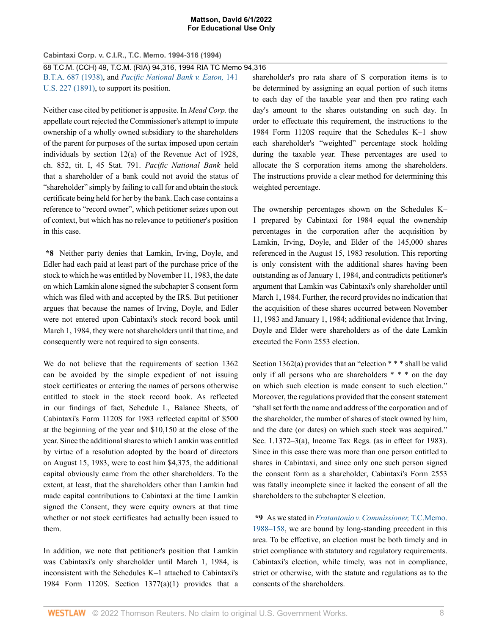**Cabintaxi Corp. v. C.I.R., T.C. Memo. 1994-316 (1994)**

68 T.C.M. (CCH) 49, T.C.M. (RIA) 94,316, 1994 RIA TC Memo 94,316 [B.T.A. 687 \(1938\)](http://www.westlaw.com/Link/Document/FullText?findType=Y&serNum=1938000148&pubNum=0000165&originatingDoc=I06017726b5f311d9bdd1cfdd544ca3a4&refType=RP&originationContext=document&vr=3.0&rs=cblt1.0&transitionType=DocumentItem&contextData=(sc.UserEnteredCitation)), and *[Pacific National Bank v. Eaton,](http://www.westlaw.com/Link/Document/FullText?findType=Y&serNum=1891180231&pubNum=0000780&originatingDoc=I06017726b5f311d9bdd1cfdd544ca3a4&refType=RP&originationContext=document&vr=3.0&rs=cblt1.0&transitionType=DocumentItem&contextData=(sc.UserEnteredCitation))* 141 [U.S. 227 \(1891\)](http://www.westlaw.com/Link/Document/FullText?findType=Y&serNum=1891180231&pubNum=0000780&originatingDoc=I06017726b5f311d9bdd1cfdd544ca3a4&refType=RP&originationContext=document&vr=3.0&rs=cblt1.0&transitionType=DocumentItem&contextData=(sc.UserEnteredCitation)), to support its position.

Neither case cited by petitioner is apposite. In *Mead Corp.* the appellate court rejected the Commissioner's attempt to impute ownership of a wholly owned subsidiary to the shareholders of the parent for purposes of the surtax imposed upon certain individuals by section 12(a) of the Revenue Act of 1928, ch. 852, tit. I, 45 Stat. 791. *Pacific National Bank* held that a shareholder of a bank could not avoid the status of "shareholder" simply by failing to call for and obtain the stock certificate being held for her by the bank. Each case contains a reference to "record owner", which petitioner seizes upon out of context, but which has no relevance to petitioner's position in this case.

**\*8** Neither party denies that Lamkin, Irving, Doyle, and Edler had each paid at least part of the purchase price of the stock to which he was entitled by November 11, 1983, the date on which Lamkin alone signed the subchapter S consent form which was filed with and accepted by the IRS. But petitioner argues that because the names of Irving, Doyle, and Edler were not entered upon Cabintaxi's stock record book until March 1, 1984, they were not shareholders until that time, and consequently were not required to sign consents.

We do not believe that the requirements of section 1362 can be avoided by the simple expedient of not issuing stock certificates or entering the names of persons otherwise entitled to stock in the stock record book. As reflected in our findings of fact, Schedule L, Balance Sheets, of Cabintaxi's Form 1120S for 1983 reflected capital of \$500 at the beginning of the year and \$10,150 at the close of the year. Since the additional shares to which Lamkin was entitled by virtue of a resolution adopted by the board of directors on August 15, 1983, were to cost him \$4,375, the additional capital obviously came from the other shareholders. To the extent, at least, that the shareholders other than Lamkin had made capital contributions to Cabintaxi at the time Lamkin signed the Consent, they were equity owners at that time whether or not stock certificates had actually been issued to them.

In addition, we note that petitioner's position that Lamkin was Cabintaxi's only shareholder until March 1, 1984, is inconsistent with the Schedules K–1 attached to Cabintaxi's 1984 Form 1120S. Section  $1377(a)(1)$  provides that a shareholder's pro rata share of S corporation items is to be determined by assigning an equal portion of such items to each day of the taxable year and then pro rating each day's amount to the shares outstanding on such day. In order to effectuate this requirement, the instructions to the 1984 Form 1120S require that the Schedules K–1 show each shareholder's "weighted" percentage stock holding during the taxable year. These percentages are used to allocate the S corporation items among the shareholders. The instructions provide a clear method for determining this weighted percentage.

The ownership percentages shown on the Schedules K– 1 prepared by Cabintaxi for 1984 equal the ownership percentages in the corporation after the acquisition by Lamkin, Irving, Doyle, and Elder of the 145,000 shares referenced in the August 15, 1983 resolution. This reporting is only consistent with the additional shares having been outstanding as of January 1, 1984, and contradicts petitioner's argument that Lamkin was Cabintaxi's only shareholder until March 1, 1984. Further, the record provides no indication that the acquisition of these shares occurred between November 11, 1983 and January 1, 1984; additional evidence that Irving, Doyle and Elder were shareholders as of the date Lamkin executed the Form 2553 election.

Section 1362(a) provides that an "election \* \* \* shall be valid only if all persons who are shareholders \* \* \* on the day on which such election is made consent to such election." Moreover, the regulations provided that the consent statement "shall set forth the name and address of the corporation and of the shareholder, the number of shares of stock owned by him, and the date (or dates) on which such stock was acquired." Sec. 1.1372–3(a), Income Tax Regs. (as in effect for 1983). Since in this case there was more than one person entitled to shares in Cabintaxi, and since only one such person signed the consent form as a shareholder, Cabintaxi's Form 2553 was fatally incomplete since it lacked the consent of all the shareholders to the subchapter S election.

**\*9** As we stated in *[Fratantonio v. Commissioner,](http://www.westlaw.com/Link/Document/FullText?findType=Y&serNum=1988050144&pubNum=0001051&originatingDoc=I06017726b5f311d9bdd1cfdd544ca3a4&refType=RP&originationContext=document&vr=3.0&rs=cblt1.0&transitionType=DocumentItem&contextData=(sc.UserEnteredCitation))* T.C.Memo. [1988–158](http://www.westlaw.com/Link/Document/FullText?findType=Y&serNum=1988050144&pubNum=0001051&originatingDoc=I06017726b5f311d9bdd1cfdd544ca3a4&refType=RP&originationContext=document&vr=3.0&rs=cblt1.0&transitionType=DocumentItem&contextData=(sc.UserEnteredCitation)), we are bound by long-standing precedent in this area. To be effective, an election must be both timely and in strict compliance with statutory and regulatory requirements. Cabintaxi's election, while timely, was not in compliance, strict or otherwise, with the statute and regulations as to the consents of the shareholders.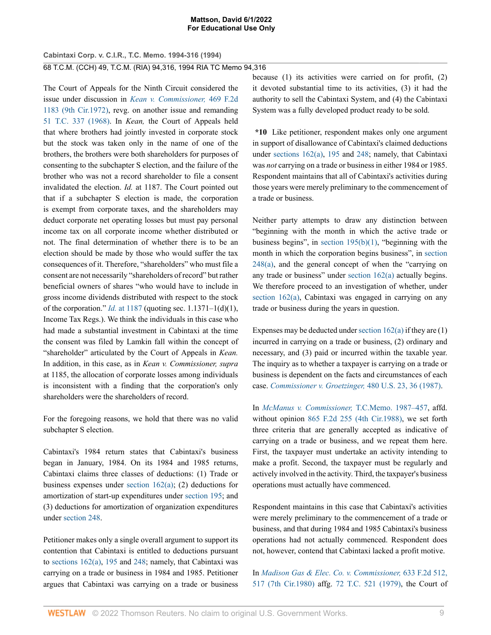**Cabintaxi Corp. v. C.I.R., T.C. Memo. 1994-316 (1994)** 68 T.C.M. (CCH) 49, T.C.M. (RIA) 94,316, 1994 RIA TC Memo 94,316

The Court of Appeals for the Ninth Circuit considered the issue under discussion in *[Kean v. Commissioner,](http://www.westlaw.com/Link/Document/FullText?findType=Y&serNum=1972112969&pubNum=0000350&originatingDoc=I06017726b5f311d9bdd1cfdd544ca3a4&refType=RP&originationContext=document&vr=3.0&rs=cblt1.0&transitionType=DocumentItem&contextData=(sc.UserEnteredCitation))* 469 F.2d [1183 \(9th Cir.1972\)](http://www.westlaw.com/Link/Document/FullText?findType=Y&serNum=1972112969&pubNum=0000350&originatingDoc=I06017726b5f311d9bdd1cfdd544ca3a4&refType=RP&originationContext=document&vr=3.0&rs=cblt1.0&transitionType=DocumentItem&contextData=(sc.UserEnteredCitation)), revg. on another issue and remanding [51 T.C. 337 \(1968\).](http://www.westlaw.com/Link/Document/FullText?findType=Y&serNum=1968290023&pubNum=0000838&originatingDoc=I06017726b5f311d9bdd1cfdd544ca3a4&refType=RP&originationContext=document&vr=3.0&rs=cblt1.0&transitionType=DocumentItem&contextData=(sc.UserEnteredCitation)) In *Kean,* the Court of Appeals held that where brothers had jointly invested in corporate stock but the stock was taken only in the name of one of the brothers, the brothers were both shareholders for purposes of consenting to the subchapter S election, and the failure of the brother who was not a record shareholder to file a consent invalidated the election. *Id.* at 1187. The Court pointed out that if a subchapter S election is made, the corporation is exempt from corporate taxes, and the shareholders may deduct corporate net operating losses but must pay personal income tax on all corporate income whether distributed or not. The final determination of whether there is to be an election should be made by those who would suffer the tax consequences of it. Therefore, "shareholders" who must file a consent are not necessarily "shareholders of record" but rather beneficial owners of shares "who would have to include in gross income dividends distributed with respect to the stock of the corporation." *Id.* [at 1187](http://www.westlaw.com/Link/Document/FullText?findType=Y&serNum=1972112969&pubNum=0000350&originatingDoc=I06017726b5f311d9bdd1cfdd544ca3a4&refType=RP&fi=co_pp_sp_350_1187&originationContext=document&vr=3.0&rs=cblt1.0&transitionType=DocumentItem&contextData=(sc.UserEnteredCitation)#co_pp_sp_350_1187) (quoting sec. 1.1371–1(d)(1), Income Tax Regs.). We think the individuals in this case who had made a substantial investment in Cabintaxi at the time the consent was filed by Lamkin fall within the concept of "shareholder" articulated by the Court of Appeals in *Kean.* In addition, in this case, as in *Kean v. Commissioner, supra* at 1185, the allocation of corporate losses among individuals is inconsistent with a finding that the corporation's only shareholders were the shareholders of record.

For the foregoing reasons, we hold that there was no valid subchapter S election.

Cabintaxi's 1984 return states that Cabintaxi's business began in January, 1984. On its 1984 and 1985 returns, Cabintaxi claims three classes of deductions: (1) Trade or business expenses under section  $162(a)$ ; (2) deductions for amortization of start-up expenditures under [section 195](http://www.westlaw.com/Link/Document/FullText?findType=L&pubNum=1012823&cite=26USCAS195&originatingDoc=I06017726b5f311d9bdd1cfdd544ca3a4&refType=LQ&originationContext=document&vr=3.0&rs=cblt1.0&transitionType=DocumentItem&contextData=(sc.UserEnteredCitation)); and (3) deductions for amortization of organization expenditures under [section 248](http://www.westlaw.com/Link/Document/FullText?findType=L&pubNum=1012823&cite=26USCAS248&originatingDoc=I06017726b5f311d9bdd1cfdd544ca3a4&refType=LQ&originationContext=document&vr=3.0&rs=cblt1.0&transitionType=DocumentItem&contextData=(sc.UserEnteredCitation)).

Petitioner makes only a single overall argument to support its contention that Cabintaxi is entitled to deductions pursuant to [sections 162\(a\),](http://www.westlaw.com/Link/Document/FullText?findType=L&pubNum=1012823&cite=26USCAS162&originatingDoc=I06017726b5f311d9bdd1cfdd544ca3a4&refType=RB&originationContext=document&vr=3.0&rs=cblt1.0&transitionType=DocumentItem&contextData=(sc.UserEnteredCitation)#co_pp_8b3b0000958a4) [195](http://www.westlaw.com/Link/Document/FullText?findType=L&pubNum=1012823&cite=26USCAS195&originatingDoc=I06017726b5f311d9bdd1cfdd544ca3a4&refType=LQ&originationContext=document&vr=3.0&rs=cblt1.0&transitionType=DocumentItem&contextData=(sc.UserEnteredCitation)) and [248;](http://www.westlaw.com/Link/Document/FullText?findType=L&pubNum=1012823&cite=26USCAS248&originatingDoc=I06017726b5f311d9bdd1cfdd544ca3a4&refType=LQ&originationContext=document&vr=3.0&rs=cblt1.0&transitionType=DocumentItem&contextData=(sc.UserEnteredCitation)) namely, that Cabintaxi was carrying on a trade or business in 1984 and 1985. Petitioner argues that Cabintaxi was carrying on a trade or business

because (1) its activities were carried on for profit, (2) it devoted substantial time to its activities, (3) it had the authority to sell the Cabintaxi System, and (4) the Cabintaxi System was a fully developed product ready to be sold.

**\*10** Like petitioner, respondent makes only one argument in support of disallowance of Cabintaxi's claimed deductions under [sections 162\(a\),](http://www.westlaw.com/Link/Document/FullText?findType=L&pubNum=1012823&cite=26USCAS162&originatingDoc=I06017726b5f311d9bdd1cfdd544ca3a4&refType=RB&originationContext=document&vr=3.0&rs=cblt1.0&transitionType=DocumentItem&contextData=(sc.UserEnteredCitation)#co_pp_8b3b0000958a4) [195](http://www.westlaw.com/Link/Document/FullText?findType=L&pubNum=1012823&cite=26USCAS195&originatingDoc=I06017726b5f311d9bdd1cfdd544ca3a4&refType=LQ&originationContext=document&vr=3.0&rs=cblt1.0&transitionType=DocumentItem&contextData=(sc.UserEnteredCitation)) and [248;](http://www.westlaw.com/Link/Document/FullText?findType=L&pubNum=1012823&cite=26USCAS248&originatingDoc=I06017726b5f311d9bdd1cfdd544ca3a4&refType=LQ&originationContext=document&vr=3.0&rs=cblt1.0&transitionType=DocumentItem&contextData=(sc.UserEnteredCitation)) namely, that Cabintaxi was *not* carrying on a trade or business in either 1984 or 1985. Respondent maintains that all of Cabintaxi's activities during those years were merely preliminary to the commencement of a trade or business.

Neither party attempts to draw any distinction between "beginning with the month in which the active trade or business begins", in section  $195(b)(1)$ , "beginning with the month in which the corporation begins business", in [section](http://www.westlaw.com/Link/Document/FullText?findType=L&pubNum=1012823&cite=26USCAS248&originatingDoc=I06017726b5f311d9bdd1cfdd544ca3a4&refType=RB&originationContext=document&vr=3.0&rs=cblt1.0&transitionType=DocumentItem&contextData=(sc.UserEnteredCitation)#co_pp_8b3b0000958a4) [248\(a\)](http://www.westlaw.com/Link/Document/FullText?findType=L&pubNum=1012823&cite=26USCAS248&originatingDoc=I06017726b5f311d9bdd1cfdd544ca3a4&refType=RB&originationContext=document&vr=3.0&rs=cblt1.0&transitionType=DocumentItem&contextData=(sc.UserEnteredCitation)#co_pp_8b3b0000958a4), and the general concept of when the "carrying on any trade or business" under [section 162\(a\)](http://www.westlaw.com/Link/Document/FullText?findType=L&pubNum=1012823&cite=26USCAS162&originatingDoc=I06017726b5f311d9bdd1cfdd544ca3a4&refType=RB&originationContext=document&vr=3.0&rs=cblt1.0&transitionType=DocumentItem&contextData=(sc.UserEnteredCitation)#co_pp_8b3b0000958a4) actually begins. We therefore proceed to an investigation of whether, under [section 162\(a\),](http://www.westlaw.com/Link/Document/FullText?findType=L&pubNum=1012823&cite=26USCAS162&originatingDoc=I06017726b5f311d9bdd1cfdd544ca3a4&refType=RB&originationContext=document&vr=3.0&rs=cblt1.0&transitionType=DocumentItem&contextData=(sc.UserEnteredCitation)#co_pp_8b3b0000958a4) Cabintaxi was engaged in carrying on any trade or business during the years in question.

Expenses may be deducted under section  $162(a)$  if they are  $(1)$ incurred in carrying on a trade or business, (2) ordinary and necessary, and (3) paid or incurred within the taxable year. The inquiry as to whether a taxpayer is carrying on a trade or business is dependent on the facts and circumstances of each case. *[Commissioner v. Groetzinger,](http://www.westlaw.com/Link/Document/FullText?findType=Y&serNum=1987023335&pubNum=0000780&originatingDoc=I06017726b5f311d9bdd1cfdd544ca3a4&refType=RP&fi=co_pp_sp_780_36&originationContext=document&vr=3.0&rs=cblt1.0&transitionType=DocumentItem&contextData=(sc.UserEnteredCitation)#co_pp_sp_780_36)* 480 U.S. 23, 36 (1987).

In *[McManus v. Commissioner,](http://www.westlaw.com/Link/Document/FullText?findType=Y&serNum=1987094258&pubNum=0001051&originatingDoc=I06017726b5f311d9bdd1cfdd544ca3a4&refType=RP&originationContext=document&vr=3.0&rs=cblt1.0&transitionType=DocumentItem&contextData=(sc.UserEnteredCitation))* T.C.Memo. 1987–457, affd. without opinion [865 F.2d 255 \(4th Cir.1988\)](http://www.westlaw.com/Link/Document/FullText?findType=Y&serNum=1988159472&pubNum=0000350&originatingDoc=I06017726b5f311d9bdd1cfdd544ca3a4&refType=RP&originationContext=document&vr=3.0&rs=cblt1.0&transitionType=DocumentItem&contextData=(sc.UserEnteredCitation)), we set forth three criteria that are generally accepted as indicative of carrying on a trade or business, and we repeat them here. First, the taxpayer must undertake an activity intending to make a profit. Second, the taxpayer must be regularly and actively involved in the activity. Third, the taxpayer's business operations must actually have commenced.

Respondent maintains in this case that Cabintaxi's activities were merely preliminary to the commencement of a trade or business, and that during 1984 and 1985 Cabintaxi's business operations had not actually commenced. Respondent does not, however, contend that Cabintaxi lacked a profit motive.

In *[Madison Gas & Elec. Co. v. Commissioner,](http://www.westlaw.com/Link/Document/FullText?findType=Y&serNum=1980143601&pubNum=0000350&originatingDoc=I06017726b5f311d9bdd1cfdd544ca3a4&refType=RP&fi=co_pp_sp_350_517&originationContext=document&vr=3.0&rs=cblt1.0&transitionType=DocumentItem&contextData=(sc.UserEnteredCitation)#co_pp_sp_350_517)* 633 F.2d 512, [517 \(7th Cir.1980\)](http://www.westlaw.com/Link/Document/FullText?findType=Y&serNum=1980143601&pubNum=0000350&originatingDoc=I06017726b5f311d9bdd1cfdd544ca3a4&refType=RP&fi=co_pp_sp_350_517&originationContext=document&vr=3.0&rs=cblt1.0&transitionType=DocumentItem&contextData=(sc.UserEnteredCitation)#co_pp_sp_350_517) affg. [72 T.C. 521 \(1979\),](http://www.westlaw.com/Link/Document/FullText?findType=Y&serNum=1979290047&pubNum=0000838&originatingDoc=I06017726b5f311d9bdd1cfdd544ca3a4&refType=RP&originationContext=document&vr=3.0&rs=cblt1.0&transitionType=DocumentItem&contextData=(sc.UserEnteredCitation)) the Court of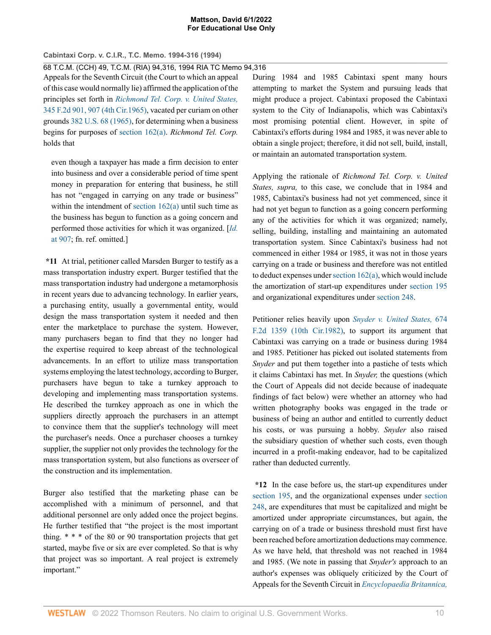**Cabintaxi Corp. v. C.I.R., T.C. Memo. 1994-316 (1994)**

68 T.C.M. (CCH) 49, T.C.M. (RIA) 94,316, 1994 RIA TC Memo 94,316

Appeals for the Seventh Circuit (the Court to which an appeal of this case would normally lie) affirmed the application of the principles set forth in *[Richmond Tel. Corp. v. United States,](http://www.westlaw.com/Link/Document/FullText?findType=Y&serNum=1965113612&pubNum=0000350&originatingDoc=I06017726b5f311d9bdd1cfdd544ca3a4&refType=RP&fi=co_pp_sp_350_907&originationContext=document&vr=3.0&rs=cblt1.0&transitionType=DocumentItem&contextData=(sc.UserEnteredCitation)#co_pp_sp_350_907)* [345 F.2d 901, 907 \(4th Cir.1965\),](http://www.westlaw.com/Link/Document/FullText?findType=Y&serNum=1965113612&pubNum=0000350&originatingDoc=I06017726b5f311d9bdd1cfdd544ca3a4&refType=RP&fi=co_pp_sp_350_907&originationContext=document&vr=3.0&rs=cblt1.0&transitionType=DocumentItem&contextData=(sc.UserEnteredCitation)#co_pp_sp_350_907) vacated per curiam on other grounds [382 U.S. 68 \(1965\)](http://www.westlaw.com/Link/Document/FullText?findType=Y&serNum=1965202645&pubNum=0000780&originatingDoc=I06017726b5f311d9bdd1cfdd544ca3a4&refType=RP&originationContext=document&vr=3.0&rs=cblt1.0&transitionType=DocumentItem&contextData=(sc.UserEnteredCitation)), for determining when a business begins for purposes of [section 162\(a\).](http://www.westlaw.com/Link/Document/FullText?findType=L&pubNum=1012823&cite=26USCAS162&originatingDoc=I06017726b5f311d9bdd1cfdd544ca3a4&refType=RB&originationContext=document&vr=3.0&rs=cblt1.0&transitionType=DocumentItem&contextData=(sc.UserEnteredCitation)#co_pp_8b3b0000958a4) *Richmond Tel. Corp.* holds that

even though a taxpayer has made a firm decision to enter into business and over a considerable period of time spent money in preparation for entering that business, he still has not "engaged in carrying on any trade or business" within the intendment of section  $162(a)$  until such time as the business has begun to function as a going concern and performed those activities for which it was organized. [*[Id.](http://www.westlaw.com/Link/Document/FullText?findType=Y&serNum=1965113612&pubNum=0000350&originatingDoc=I06017726b5f311d9bdd1cfdd544ca3a4&refType=RP&fi=co_pp_sp_350_907&originationContext=document&vr=3.0&rs=cblt1.0&transitionType=DocumentItem&contextData=(sc.UserEnteredCitation)#co_pp_sp_350_907)* [at 907;](http://www.westlaw.com/Link/Document/FullText?findType=Y&serNum=1965113612&pubNum=0000350&originatingDoc=I06017726b5f311d9bdd1cfdd544ca3a4&refType=RP&fi=co_pp_sp_350_907&originationContext=document&vr=3.0&rs=cblt1.0&transitionType=DocumentItem&contextData=(sc.UserEnteredCitation)#co_pp_sp_350_907) fn. ref. omitted.]

**\*11** At trial, petitioner called Marsden Burger to testify as a mass transportation industry expert. Burger testified that the mass transportation industry had undergone a metamorphosis in recent years due to advancing technology. In earlier years, a purchasing entity, usually a governmental entity, would design the mass transportation system it needed and then enter the marketplace to purchase the system. However, many purchasers began to find that they no longer had the expertise required to keep abreast of the technological advancements. In an effort to utilize mass transportation systems employing the latest technology, according to Burger, purchasers have begun to take a turnkey approach to developing and implementing mass transportation systems. He described the turnkey approach as one in which the suppliers directly approach the purchasers in an attempt to convince them that the supplier's technology will meet the purchaser's needs. Once a purchaser chooses a turnkey supplier, the supplier not only provides the technology for the mass transportation system, but also functions as overseer of the construction and its implementation.

Burger also testified that the marketing phase can be accomplished with a minimum of personnel, and that additional personnel are only added once the project begins. He further testified that "the project is the most important thing. \* \* \* of the 80 or 90 transportation projects that get started, maybe five or six are ever completed. So that is why that project was so important. A real project is extremely important."

During 1984 and 1985 Cabintaxi spent many hours attempting to market the System and pursuing leads that might produce a project. Cabintaxi proposed the Cabintaxi system to the City of Indianapolis, which was Cabintaxi's most promising potential client. However, in spite of Cabintaxi's efforts during 1984 and 1985, it was never able to obtain a single project; therefore, it did not sell, build, install, or maintain an automated transportation system.

Applying the rationale of *Richmond Tel. Corp. v. United States, supra,* to this case, we conclude that in 1984 and 1985, Cabintaxi's business had not yet commenced, since it had not yet begun to function as a going concern performing any of the activities for which it was organized; namely, selling, building, installing and maintaining an automated transportation system. Since Cabintaxi's business had not commenced in either 1984 or 1985, it was not in those years carrying on a trade or business and therefore was not entitled to deduct expenses under [section 162\(a\)](http://www.westlaw.com/Link/Document/FullText?findType=L&pubNum=1012823&cite=26USCAS162&originatingDoc=I06017726b5f311d9bdd1cfdd544ca3a4&refType=RB&originationContext=document&vr=3.0&rs=cblt1.0&transitionType=DocumentItem&contextData=(sc.UserEnteredCitation)#co_pp_8b3b0000958a4), which would include the amortization of start-up expenditures under [section 195](http://www.westlaw.com/Link/Document/FullText?findType=L&pubNum=1012823&cite=26USCAS195&originatingDoc=I06017726b5f311d9bdd1cfdd544ca3a4&refType=LQ&originationContext=document&vr=3.0&rs=cblt1.0&transitionType=DocumentItem&contextData=(sc.UserEnteredCitation)) and organizational expenditures under [section 248.](http://www.westlaw.com/Link/Document/FullText?findType=L&pubNum=1012823&cite=26USCAS248&originatingDoc=I06017726b5f311d9bdd1cfdd544ca3a4&refType=LQ&originationContext=document&vr=3.0&rs=cblt1.0&transitionType=DocumentItem&contextData=(sc.UserEnteredCitation))

Petitioner relies heavily upon *[Snyder v. United States,](http://www.westlaw.com/Link/Document/FullText?findType=Y&serNum=1982114513&pubNum=0000350&originatingDoc=I06017726b5f311d9bdd1cfdd544ca3a4&refType=RP&originationContext=document&vr=3.0&rs=cblt1.0&transitionType=DocumentItem&contextData=(sc.UserEnteredCitation))* 674 [F.2d 1359 \(10th Cir.1982\)](http://www.westlaw.com/Link/Document/FullText?findType=Y&serNum=1982114513&pubNum=0000350&originatingDoc=I06017726b5f311d9bdd1cfdd544ca3a4&refType=RP&originationContext=document&vr=3.0&rs=cblt1.0&transitionType=DocumentItem&contextData=(sc.UserEnteredCitation)), to support its argument that Cabintaxi was carrying on a trade or business during 1984 and 1985. Petitioner has picked out isolated statements from *Snyder* and put them together into a pastiche of tests which it claims Cabintaxi has met. In *Snyder,* the questions (which the Court of Appeals did not decide because of inadequate findings of fact below) were whether an attorney who had written photography books was engaged in the trade or business of being an author and entitled to currently deduct his costs, or was pursuing a hobby. *Snyder* also raised the subsidiary question of whether such costs, even though incurred in a profit-making endeavor, had to be capitalized rather than deducted currently.

**\*12** In the case before us, the start-up expenditures under [section 195](http://www.westlaw.com/Link/Document/FullText?findType=L&pubNum=1012823&cite=26USCAS195&originatingDoc=I06017726b5f311d9bdd1cfdd544ca3a4&refType=LQ&originationContext=document&vr=3.0&rs=cblt1.0&transitionType=DocumentItem&contextData=(sc.UserEnteredCitation)), and the organizational expenses under [section](http://www.westlaw.com/Link/Document/FullText?findType=L&pubNum=1012823&cite=26USCAS248&originatingDoc=I06017726b5f311d9bdd1cfdd544ca3a4&refType=LQ&originationContext=document&vr=3.0&rs=cblt1.0&transitionType=DocumentItem&contextData=(sc.UserEnteredCitation)) [248](http://www.westlaw.com/Link/Document/FullText?findType=L&pubNum=1012823&cite=26USCAS248&originatingDoc=I06017726b5f311d9bdd1cfdd544ca3a4&refType=LQ&originationContext=document&vr=3.0&rs=cblt1.0&transitionType=DocumentItem&contextData=(sc.UserEnteredCitation)), are expenditures that must be capitalized and might be amortized under appropriate circumstances, but again, the carrying on of a trade or business threshold must first have been reached before amortization deductions may commence. As we have held, that threshold was not reached in 1984 and 1985. (We note in passing that *Snyder's* approach to an author's expenses was obliquely criticized by the Court of Appeals for the Seventh Circuit in *[Encyclopaedia Britannica,](http://www.westlaw.com/Link/Document/FullText?findType=Y&serNum=1982136081&pubNum=0000350&originatingDoc=I06017726b5f311d9bdd1cfdd544ca3a4&refType=RP&fi=co_pp_sp_350_215&originationContext=document&vr=3.0&rs=cblt1.0&transitionType=DocumentItem&contextData=(sc.UserEnteredCitation)#co_pp_sp_350_215)*